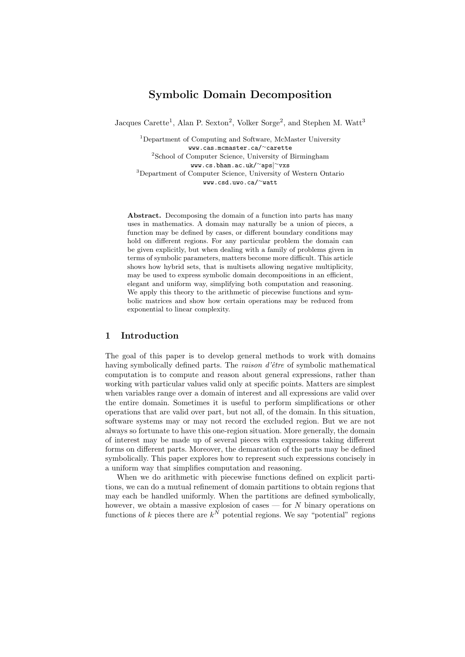# Symbolic Domain Decomposition

Jacques Carette<sup>1</sup>, Alan P. Sexton<sup>2</sup>, Volker Sorge<sup>2</sup>, and Stephen M. Watt<sup>3</sup>

<sup>1</sup>Department of Computing and Software, McMaster University www.cas.mcmaster.ca/<sup>∼</sup>carette <sup>2</sup>School of Computer Science, University of Birmingham www.cs.bham.ac.uk/<sup>∼</sup>aps|<sup>∼</sup>vxs <sup>3</sup>Department of Computer Science, University of Western Ontario www.csd.uwo.ca/<sup>∼</sup>watt

Abstract. Decomposing the domain of a function into parts has many uses in mathematics. A domain may naturally be a union of pieces, a function may be defined by cases, or different boundary conditions may hold on different regions. For any particular problem the domain can be given explicitly, but when dealing with a family of problems given in terms of symbolic parameters, matters become more difficult. This article shows how hybrid sets, that is multisets allowing negative multiplicity, may be used to express symbolic domain decompositions in an efficient, elegant and uniform way, simplifying both computation and reasoning. We apply this theory to the arithmetic of piecewise functions and symbolic matrices and show how certain operations may be reduced from exponential to linear complexity.

#### 1 Introduction

The goal of this paper is to develop general methods to work with domains having symbolically defined parts. The *raison d'être* of symbolic mathematical computation is to compute and reason about general expressions, rather than working with particular values valid only at specific points. Matters are simplest when variables range over a domain of interest and all expressions are valid over the entire domain. Sometimes it is useful to perform simplifications or other operations that are valid over part, but not all, of the domain. In this situation, software systems may or may not record the excluded region. But we are not always so fortunate to have this one-region situation. More generally, the domain of interest may be made up of several pieces with expressions taking different forms on different parts. Moreover, the demarcation of the parts may be defined symbolically. This paper explores how to represent such expressions concisely in a uniform way that simplifies computation and reasoning.

When we do arithmetic with piecewise functions defined on explicit partitions, we can do a mutual refinement of domain partitions to obtain regions that may each be handled uniformly. When the partitions are defined symbolically, however, we obtain a massive explosion of cases — for  $N$  binary operations on functions of k pieces there are  $k^N$  potential regions. We say "potential" regions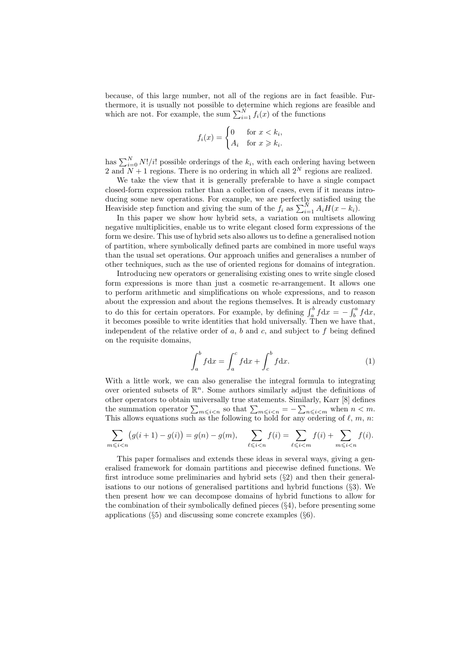because, of this large number, not all of the regions are in fact feasible. Furthermore, it is usually not possible to determine which regions are feasible and which are not. For example, the sum  $\sum_{i=1}^{N} f_i(x)$  of the functions

$$
f_i(x) = \begin{cases} 0 & \text{for } x < k_i, \\ A_i & \text{for } x \geq k_i. \end{cases}
$$

has  $\sum_{i=0}^{N} N!/i!$  possible orderings of the  $k_i$ , with each ordering having between 2 and  $N+1$  regions. There is no ordering in which all  $2^N$  regions are realized.

We take the view that it is generally preferable to have a single compact closed-form expression rather than a collection of cases, even if it means introducing some new operations. For example, we are perfectly satisfied using the Heaviside step function and giving the sum of the  $f_i$  as  $\sum_{i=1}^{N} A_i H(x - k_i)$ .

In this paper we show how hybrid sets, a variation on multisets allowing negative multiplicities, enable us to write elegant closed form expressions of the form we desire. This use of hybrid sets also allows us to define a generalised notion of partition, where symbolically defined parts are combined in more useful ways than the usual set operations. Our approach unifies and generalises a number of other techniques, such as the use of oriented regions for domains of integration.

Introducing new operators or generalising existing ones to write single closed form expressions is more than just a cosmetic re-arrangement. It allows one to perform arithmetic and simplifications on whole expressions, and to reason about the expression and about the regions themselves. It is already customary to do this for certain operators. For example, by defining  $\int_a^b f dx = -\int_b^a f dx$ , it becomes possible to write identities that hold universally. Then we have that, independent of the relative order of  $a, b$  and  $c,$  and subject to  $f$  being defined on the requisite domains,

$$
\int_{a}^{b} f \mathrm{d}x = \int_{a}^{c} f \mathrm{d}x + \int_{c}^{b} f \mathrm{d}x. \tag{1}
$$

With a little work, we can also generalise the integral formula to integrating over oriented subsets of  $\mathbb{R}^n$ . Some authors similarly adjust the definitions of other operators to obtain universally true statements. Similarly, Karr [8] defines the summation operator  $\sum_{m \leqslant i < n}$  so that  $\sum_{m \leqslant i < n} = -\sum_{n \leqslant i < m}$  when  $n < m$ . This allows equations such as the following to hold for any ordering of  $\ell, m, n$ :

$$
\sum_{m \le i < n} \left( g(i+1) - g(i) \right) = g(n) - g(m), \quad \sum_{\ell \le i < n} f(i) = \sum_{\ell \le i < m} f(i) + \sum_{m \le i < n} f(i).
$$

This paper formalises and extends these ideas in several ways, giving a generalised framework for domain partitions and piecewise defined functions. We first introduce some preliminaries and hybrid sets (§2) and then their generalisations to our notions of generalised partitions and hybrid functions (§3). We then present how we can decompose domains of hybrid functions to allow for the combination of their symbolically defined pieces (§4), before presenting some applications  $(\S 5)$  and discussing some concrete examples  $(\S 6)$ .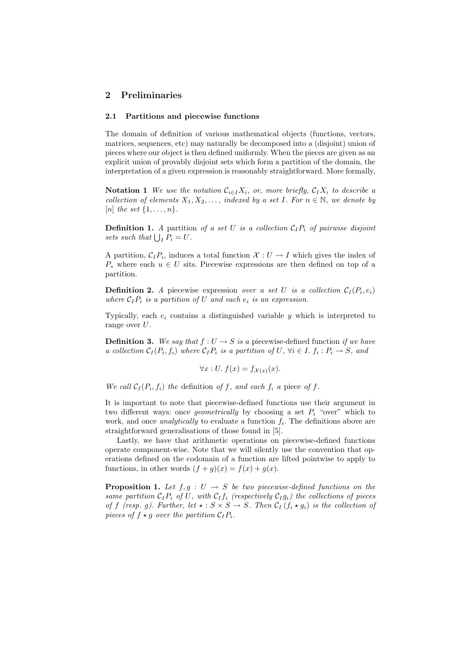## 2 Preliminaries

#### 2.1 Partitions and piecewise functions

The domain of definition of various mathematical objects (functions, vectors, matrices, sequences, etc) may naturally be decomposed into a (disjoint) union of pieces where our object is then defined uniformly. When the pieces are given as an explicit union of provably disjoint sets which form a partition of the domain, the interpretation of a given expression is reasonably straightforward. More formally,

**Notation 1** We use the notation  $\mathcal{C}_{i\in I}X_i$ , or, more briefly,  $\mathcal{C}_I X_i$  to describe a collection of elements  $X_1, X_2, \ldots$ , indexed by a set I. For  $n \in \mathbb{N}$ , we denote by [n] the set  $\{1,\ldots,n\}$ .

**Definition 1.** A partition of a set U is a collection  $C_1P_i$  of pairwise disjoint sets such that  $\bigcup_{I} P_i = U$ .

A partition,  $C_I P_i$ , induces a total function  $\mathcal{X}: U \to I$  which gives the index of  $P_*$  where each  $u \in U$  sits. Piecewise expressions are then defined on top of a partition.

**Definition 2.** A piecewise expression over a set U is a collection  $C_I(P_i, e_i)$ where  $C_I P_i$  is a partition of U and each  $e_i$  is an expression.

Typically, each  $e_i$  contains a distinguished variable y which is interpreted to range over  $U$ .

**Definition 3.** We say that  $f: U \to S$  is a piecewise-defined function if we have a collection  $C_I(P_i, f_i)$  where  $C_I P_i$  is a partition of U,  $\forall i \in I$ .  $f_i : P_i \to S$ , and

$$
\forall x: U. f(x) = f_{\mathcal{X}(x)}(x).
$$

We call  $C_I(P_i, f_i)$  the definition of f, and each  $f_i$  a piece of f.

It is important to note that piecewise-defined functions use their argument in two different ways: once *geometrically* by choosing a set  $P_i$  "over" which to work, and once *analytically* to evaluate a function  $f_i$ . The definitions above are straightforward generalisations of those found in [5].

Lastly, we have that arithmetic operations on piecewise-defined functions operate component-wise. Note that we will silently use the convention that operations defined on the codomain of a function are lifted pointwise to apply to functions, in other words  $(f+g)(x) = f(x) + g(x)$ .

**Proposition 1.** Let  $f, g : U \to S$  be two piecewise-defined functions on the same partition  $C_I P_i$  of U, with  $C_I f_i$  (respectively  $C_I g_i$ ) the collections of pieces of f (resp. g). Further, let  $\star : S \times S \to S$ . Then  $C_I(f_i \star g_i)$  is the collection of pieces of  $f \star g$  over the partition  $C_I P_i$ .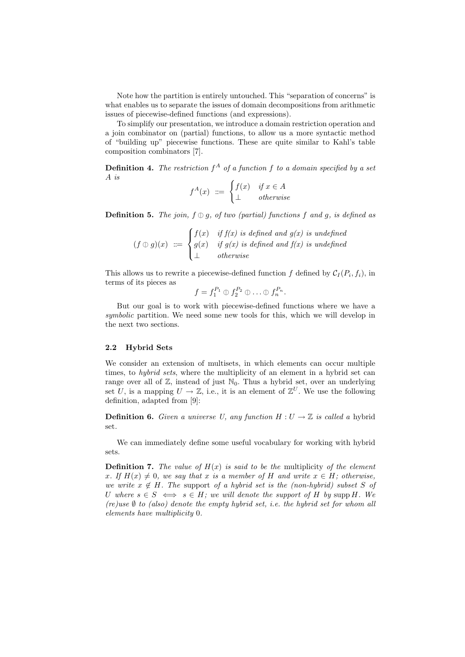Note how the partition is entirely untouched. This "separation of concerns" is what enables us to separate the issues of domain decompositions from arithmetic issues of piecewise-defined functions (and expressions).

To simplify our presentation, we introduce a domain restriction operation and a join combinator on (partial) functions, to allow us a more syntactic method of "building up" piecewise functions. These are quite similar to Kahl's table composition combinators [7].

**Definition 4.** The restriction  $f^A$  of a function f to a domain specified by a set A is

$$
f^{A}(x) \ ::= \begin{cases} f(x) & \text{if } x \in A \\ \bot & \text{otherwise} \end{cases}
$$

**Definition 5.** The join,  $f \oplus g$ , of two (partial) functions f and g, is defined as

$$
(f \oplus g)(x) \ ::= \begin{cases} f(x) & \text{if } f(x) \text{ is defined and } g(x) \text{ is undefined} \\ g(x) & \text{if } g(x) \text{ is defined and } f(x) \text{ is undefined} \\ \bot & \text{otherwise} \end{cases}
$$

This allows us to rewrite a piecewise-defined function f defined by  $C_I(P_i, f_i)$ , in terms of its pieces as

$$
f = f_1^{P_1} \oplus f_2^{P_2} \oplus \ldots \oplus f_n^{P_n}
$$

.

But our goal is to work with piecewise-defined functions where we have a symbolic partition. We need some new tools for this, which we will develop in the next two sections.

#### 2.2 Hybrid Sets

We consider an extension of multisets, in which elements can occur multiple times, to *hybrid sets*, where the multiplicity of an element in a hybrid set can range over all of  $\mathbb{Z}$ , instead of just  $\mathbb{N}_0$ . Thus a hybrid set, over an underlying set U, is a mapping  $U \to \mathbb{Z}$ , i.e., it is an element of  $\mathbb{Z}^U$ . We use the following definition, adapted from [9]:

**Definition 6.** Given a universe U, any function  $H: U \to \mathbb{Z}$  is called a hybrid set.

We can immediately define some useful vocabulary for working with hybrid sets.

**Definition 7.** The value of  $H(x)$  is said to be the multiplicity of the element x. If  $H(x) \neq 0$ , we say that x is a member of H and write  $x \in H$ ; otherwise, we write  $x \notin H$ . The support of a hybrid set is the (non-hybrid) subset S of U where  $s \in S \iff s \in H$ ; we will denote the support of H by supp H. We (re)use  $\emptyset$  to (also) denote the empty hybrid set, i.e. the hybrid set for whom all elements have multiplicity 0.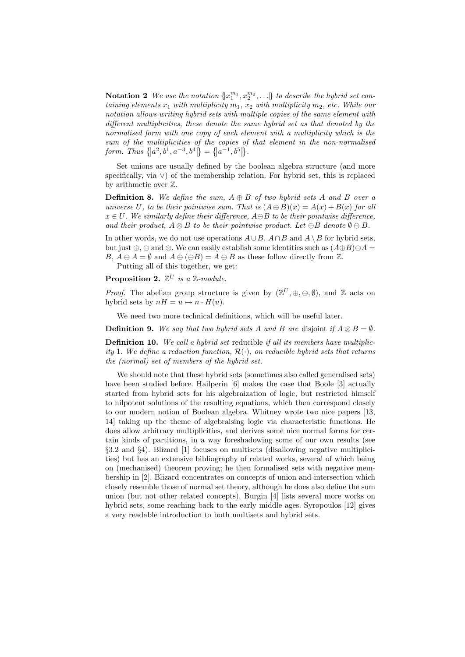**Notation 2** We use the notation  $\{x_1^{m_1}, x_2^{m_2}, ...\}$  to describe the hybrid set containing elements  $x_1$  with multiplicity  $m_1$ ,  $x_2$  with multiplicity  $m_2$ , etc. While our notation allows writing hybrid sets with multiple copies of the same element with different multiplicities, these denote the same hybrid set as that denoted by the normalised form with one copy of each element with a multiplicity which is the sum of the multiplicities of the copies of that element in the non-normalised form. Thus  $\{|a^2, b^1, a^{-3}, b^4|\} = \{|a^{-1}, b^5|\}.$ 

Set unions are usually defined by the boolean algebra structure (and more specifically, via ∨) of the membership relation. For hybrid set, this is replaced by arithmetic over Z.

**Definition 8.** We define the sum,  $A \oplus B$  of two hybrid sets A and B over a universe U, to be their pointwise sum. That is  $(A \oplus B)(x) = A(x) + B(x)$  for all  $x \in U$ . We similarly define their difference,  $A \ominus B$  to be their pointwise difference, and their product,  $A \otimes B$  to be their pointwise product. Let  $\ominus B$  denote  $\emptyset \ominus B$ .

In other words, we do not use operations  $A\cup B$ ,  $A\cap B$  and  $A\setminus B$  for hybrid sets, but just  $\oplus$ ,  $\ominus$  and  $\otimes$ . We can easily establish some identities such as  $(A \oplus B) \ominus A =$  $B, A \ominus A = \emptyset$  and  $A \oplus (\ominus B) = A \ominus B$  as these follow directly from  $\mathbb{Z}$ .

Putting all of this together, we get:

**Proposition 2.**  $\mathbb{Z}^U$  is a  $\mathbb{Z}\text{-}module$ .

*Proof.* The abelian group structure is given by  $(\mathbb{Z}^U, \oplus, \ominus, \emptyset)$ , and  $\mathbb Z$  acts on hybrid sets by  $nH = u \mapsto n \cdot H(u)$ .

We need two more technical definitions, which will be useful later.

**Definition 9.** We say that two hybrid sets A and B are disjoint if  $A \otimes B = \emptyset$ .

**Definition 10.** We call a hybrid set reducible if all its members have multiplicity 1. We define a reduction function,  $\mathcal{R}(\cdot)$ , on reducible hybrid sets that returns the (normal) set of members of the hybrid set.

We should note that these hybrid sets (sometimes also called generalised sets) have been studied before. Hailperin [6] makes the case that Boole [3] actually started from hybrid sets for his algebraization of logic, but restricted himself to nilpotent solutions of the resulting equations, which then correspond closely to our modern notion of Boolean algebra. Whitney wrote two nice papers [13, 14] taking up the theme of algebraising logic via characteristic functions. He does allow arbitrary multiplicities, and derives some nice normal forms for certain kinds of partitions, in a way foreshadowing some of our own results (see §3.2 and §4). Blizard [1] focuses on multisets (disallowing negative multiplicities) but has an extensive bibliography of related works, several of which being on (mechanised) theorem proving; he then formalised sets with negative membership in [2]. Blizard concentrates on concepts of union and intersection which closely resemble those of normal set theory, although he does also define the sum union (but not other related concepts). Burgin [4] lists several more works on hybrid sets, some reaching back to the early middle ages. Syropoulos [12] gives a very readable introduction to both multisets and hybrid sets.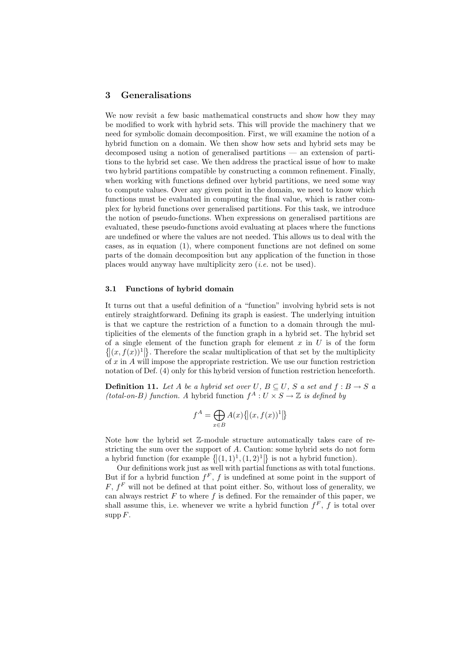#### 3 Generalisations

We now revisit a few basic mathematical constructs and show how they may be modified to work with hybrid sets. This will provide the machinery that we need for symbolic domain decomposition. First, we will examine the notion of a hybrid function on a domain. We then show how sets and hybrid sets may be decomposed using a notion of generalised partitions — an extension of partitions to the hybrid set case. We then address the practical issue of how to make two hybrid partitions compatible by constructing a common refinement. Finally, when working with functions defined over hybrid partitions, we need some way to compute values. Over any given point in the domain, we need to know which functions must be evaluated in computing the final value, which is rather complex for hybrid functions over generalised partitions. For this task, we introduce the notion of pseudo-functions. When expressions on generalised partitions are evaluated, these pseudo-functions avoid evaluating at places where the functions are undefined or where the values are not needed. This allows us to deal with the cases, as in equation (1), where component functions are not defined on some parts of the domain decomposition but any application of the function in those places would anyway have multiplicity zero  $(i.e.$  not be used).

#### 3.1 Functions of hybrid domain

It turns out that a useful definition of a "function" involving hybrid sets is not entirely straightforward. Defining its graph is easiest. The underlying intuition is that we capture the restriction of a function to a domain through the multiplicities of the elements of the function graph in a hybrid set. The hybrid set of a single element of the function graph for element  $x$  in  $U$  is of the form  $\{|(x, f(x))^{1}|\}$ . Therefore the scalar multiplication of that set by the multiplicity of  $x$  in  $A$  will impose the appropriate restriction. We use our function restriction notation of Def. (4) only for this hybrid version of function restriction henceforth.

**Definition 11.** Let A be a hybrid set over U,  $B \subseteq U$ , S a set and  $f : B \to S$  a (total-on-B) function. A hybrid function  $f^A: U \times S \to \mathbb{Z}$  is defined by

$$
f^{A} = \bigoplus_{x \in B} A(x) \{ |(x, f(x))^{1}| \}
$$

Note how the hybrid set Z-module structure automatically takes care of restricting the sum over the support of A. Caution: some hybrid sets do not form a hybrid function (for example  $\{[(1,1)^1,(1,2)^1]\}$  is not a hybrid function).

Our definitions work just as well with partial functions as with total functions. But if for a hybrid function  $f^F$ , f is undefined at some point in the support of  $F, f<sup>F</sup>$  will not be defined at that point either. So, without loss of generality, we can always restrict  $F$  to where  $f$  is defined. For the remainder of this paper, we shall assume this, i.e. whenever we write a hybrid function  $f^F$ , f is total over supp  $F$ .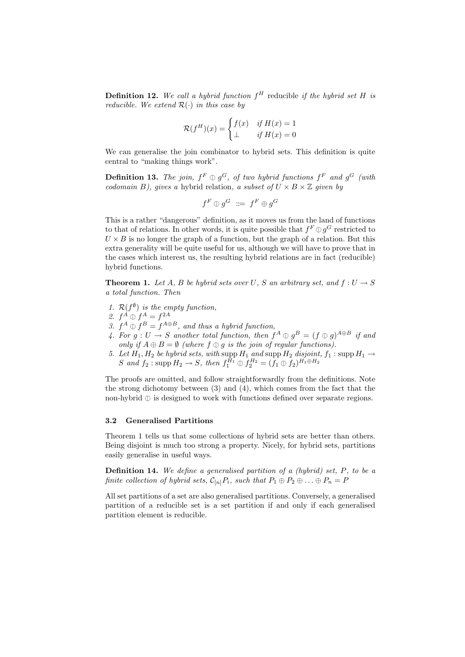**Definition 12.** We call a hybrid function  $f^H$  reducible if the hybrid set H is reducible. We extend  $\mathcal{R}(\cdot)$  in this case by

$$
\mathcal{R}(f^H)(x) = \begin{cases} f(x) & \text{if } H(x) = 1\\ \perp & \text{if } H(x) = 0 \end{cases}
$$

We can generalise the join combinator to hybrid sets. This definition is quite central to "making things work".

**Definition 13.** The join,  $f^F \oplus g^G$ , of two hybrid functions  $f^F$  and  $g^G$  (with codomain B), gives a hybrid relation, a subset of  $U \times B \times \mathbb{Z}$  given by

$$
f^F \oplus g^G \ \ \mathrel{\mathop:}= \ f^F \oplus g^G
$$

This is a rather "dangerous" definition, as it moves us from the land of functions to that of relations. In other words, it is quite possible that  $f^F \oplus g^G$  restricted to  $U \times B$  is no longer the graph of a function, but the graph of a relation. But this  $U \times B$  is no longer the graph of a function, but the graph of a relation. But this extra generality will be quite useful for us, although we will have to prove that in the cases which interest us, the resulting hybrid relations are in fact (reducible) hybrid functions.

**Theorem 1.** Let A, B be hybrid sets over U, S an arbitrary set, and  $f: U \to S$ a total function. Then

- 1.  $\mathcal{R}(f^{\emptyset})$  is the empty function,
- 2.  $f^A \oplus f^A = f^{2A}$ <br>2.  $f^A \oplus f^B = f^{2A}$
- 3.  $f^A \oplus f^B = f^{A \oplus B}$ , and thus a hybrid function,<br> $f^A \oplus f^B = f^{A \oplus B}$ , and thus a hybrid function, then the
- 4. For  $g: U \to S$  another total function, then  $f^A \oplus g^B = (f \oplus g)^{A \oplus B}$  if and contain if  $A \oplus B = \emptyset$  (where  $f \oplus g$  is the join of reqular functions) only if  $A \oplus B = \emptyset$  (where  $f \oplus g$  is the join of regular functions).
- 5. Let  $H_1, H_2$  be hybrid sets, with supp  $H_1$  and supp  $H_2$  disjoint,  $f_1$ : supp  $H_1 \rightarrow$ S and  $f_2$ : supp  $H_2 \to S$ , then  $f_1^{H_1} \oplus f_2^{H_2} = (f_1 \oplus f_2)^{H_1 \oplus H_2}$

The proofs are omitted, and follow straightforwardly from the definitions. Note the strong dichotomy between (3) and (4), which comes from the fact that the non-hybrid  $\mathbb O$  is designed to work with functions defined over separate regions.

#### 3.2 Generalised Partitions

Theorem 1 tells us that some collections of hybrid sets are better than others. Being disjoint is much too strong a property. Nicely, for hybrid sets, partitions easily generalise in useful ways.

**Definition 14.** We define a generalised partition of a (hybrid) set,  $P$ , to be a finite collection of hybrid sets,  $C_{[n]}P_i$ , such that  $P_1 \oplus P_2 \oplus \ldots \oplus P_n = P$ 

All set partitions of a set are also generalised partitions. Conversely, a generalised partition of a reducible set is a set partition if and only if each generalised partition element is reducible.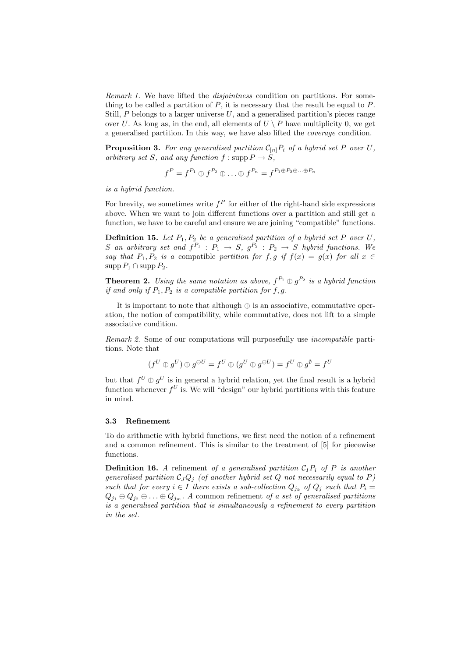Remark 1. We have lifted the *disjointness* condition on partitions. For something to be called a partition of  $P$ , it is necessary that the result be equal to  $P$ . Still,  $P$  belongs to a larger universe  $U$ , and a generalised partition's pieces range over U. As long as, in the end, all elements of  $U \setminus P$  have multiplicity 0, we get a generalised partition. In this way, we have also lifted the coverage condition.

**Proposition 3.** For any generalised partition  $C_{[n]}P_i$  of a hybrid set P over U, arbitrary set S, and any function  $f : \mathrm{supp} P \to S$ ,

$$
f^P = f^{P_1} \oplus f^{P_2} \oplus \ldots \oplus f^{P_n} = f^{P_1 \oplus P_2 \oplus \ldots \oplus P_n}
$$

is a hybrid function.

For brevity, we sometimes write  $f^P$  for either of the right-hand side expressions above. When we want to join different functions over a partition and still get a function, we have to be careful and ensure we are joining "compatible" functions.

**Definition 15.** Let  $P_1, P_2$  be a generalised partition of a hybrid set P over U, S an arbitrary set and  $f^{P_1}$  :  $P_1 \rightarrow S$ ,  $g^{P_2}$  :  $P_2 \rightarrow S$  hybrid functions. We say that  $P_1$ ,  $P_2$  is a compatible partition for f, g if  $f(x) = g(x)$  for all  $x \in$  $\mathrm{supp} P_1 \cap \mathrm{supp} P_2.$ 

**Theorem 2.** Using the same notation as above,  $f^{P_1} \oplus g^{P_2}$  is a hybrid function if and only if  $P_1$ ,  $P_2$  is a compatible partition for f. a. if and only if  $P_1, P_2$  is a compatible partition for f, g.

It is important to note that although  $\oplus$  is an associative, commutative operation, the notion of compatibility, while commutative, does not lift to a simple associative condition.

Remark 2. Some of our computations will purposefully use incompatible partitions. Note that

$$
(f^U \oplus g^U) \oplus g^{\ominus U} = f^U \oplus (g^U \oplus g^{\ominus U}) = f^U \oplus g^{\emptyset} = f^U
$$

but that  $f^U \oplus g^U$  is in general a hybrid relation, yet the final result is a hybrid<br>function whenever  $f^U$  is We will "design" our hybrid pertitions with this feature function whenever  $f^U$  is. We will "design" our hybrid partitions with this feature in mind.

#### 3.3 Refinement

To do arithmetic with hybrid functions, we first need the notion of a refinement and a common refinement. This is similar to the treatment of [5] for piecewise functions.

**Definition 16.** A refinement of a generalised partition  $C_1P_i$  of P is another generalised partition  $C_JQ_j$  (of another hybrid set Q not necessarily equal to P) such that for every  $i \in I$  there exists a sub-collection  $Q_{j_k}$  of  $Q_j$  such that  $P_i =$  $Q_{j_1} \oplus Q_{j_2} \oplus \ldots \oplus Q_{j_m}$ . A common refinement of a set of generalised partitions is a generalised partition that is simultaneously a refinement to every partition in the set.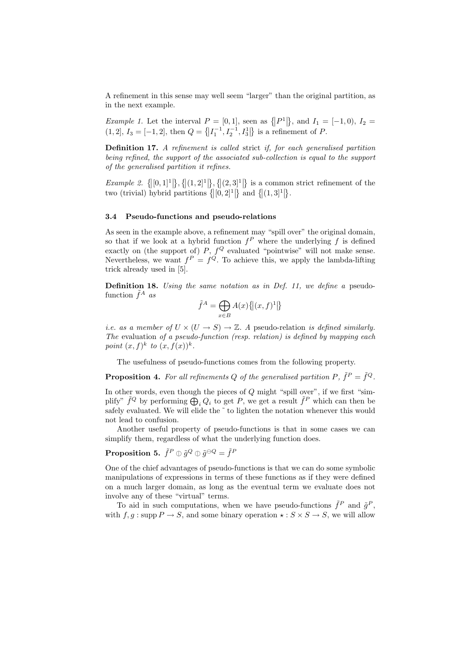A refinement in this sense may well seem "larger" than the original partition, as in the next example.

Example 1. Let the interval  $P = [0, 1]$ , seen as  $\{|P^1|\}$ , and  $I_1 = [-1, 0), I_2 =$  $(1, 2], I_3 = [-1, 2],$  then  $Q = \{ \left| I_1^{-1}, I_2^{-1}, I_3^1 \right| \}$  is a refinement of P.

Definition 17. A refinement is called strict if, for each generalised partition being refined, the support of the associated sub-collection is equal to the support of the generalised partition it refines.

Example 2.  $\{[(0,1]^1]\},\{[(1,2]^1]\},\{[(2,3]^1]\}$  is a common strict refinement of the two (trivial) hybrid partitions  $\{[(0,2]^1]\}$  and  $\{[(1,3]^1]\}$ .

#### 3.4 Pseudo-functions and pseudo-relations

As seen in the example above, a refinement may "spill over" the original domain, so that if we look at a hybrid function  $f^P$  where the underlying f is defined exactly on (the support of)  $P$ ,  $f^Q$  evaluated "pointwise" will not make sense. Nevertheless, we want  $f^P = f^Q$ . To achieve this, we apply the lambda-lifting trick already used in [5].

Definition 18. Using the same notation as in Def. 11, we define a pseudofunction  $\tilde{f}^A$  as

$$
\tilde{f}^A = \bigoplus_{x \in B} A(x) \big\{ \big| (x,f)^1 \big| \big\}
$$

*i.e.* as a member of  $U \times (U \rightarrow S) \rightarrow \mathbb{Z}$ . A pseudo-relation is defined similarly. The evaluation of a pseudo-function (resp. relation) is defined by mapping each point  $(x, f)^k$  to  $(x, f(x))^k$ .

The usefulness of pseudo-functions comes from the following property.

**Proposition 4.** For all refinements Q of the generalised partition P,  $\tilde{f}^P = \tilde{f}^Q$ .

In other words, even though the pieces of  $Q$  might "spill over", if we first "simplify"  $\tilde{f}^Q$  by performing  $\tilde{\bigoplus}_i Q_i$  to get P, we get a result  $\tilde{f}^P$  which can then be safely evaluated. We will elide the ~ to lighten the notation whenever this would not lead to confusion.

Another useful property of pseudo-functions is that in some cases we can simplify them, regardless of what the underlying function does.

# Proposition 5.  $\tilde{f}^P \oplus \tilde{g}^Q \oplus \tilde{g}^{\ominus Q} = \tilde{f}^P$

One of the chief advantages of pseudo-functions is that we can do some symbolic manipulations of expressions in terms of these functions as if they were defined on a much larger domain, as long as the eventual term we evaluate does not involve any of these "virtual" terms.

To aid in such computations, when we have pseudo-functions  $\tilde{f}^P$  and  $\tilde{g}^P$ , with  $f, q: \text{supp } P \to S$ , and some binary operation  $\star: S \times S \to S$ , we will allow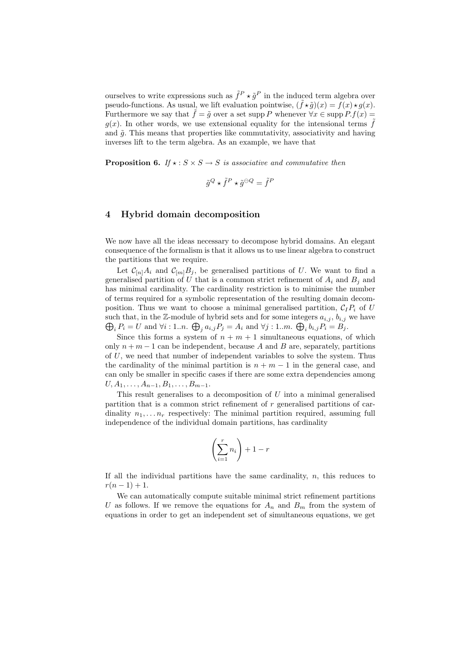ourselves to write expressions such as  $\tilde{f}^P \star \tilde{g}^P$  in the induced term algebra over pseudo-functions. As usual, we lift evaluation pointwise,  $(\tilde{f} \star \tilde{g})(x) = \tilde{f}(x) \star g(x)$ . Furthermore we say that  $\tilde{f} = \tilde{g}$  over a set supp P whenever  $\forall x \in \text{supp } P.f(x) =$  $g(x)$ . In other words, we use extensional equality for the intensional terms f and  $\tilde{q}$ . This means that properties like commutativity, associativity and having inverses lift to the term algebra. As an example, we have that

**Proposition 6.** If  $\star : S \times S \rightarrow S$  is associative and commutative then

$$
\tilde{g}^Q \star \tilde{f}^P \star \tilde{g}^{\ominus Q} = \tilde{f}^P
$$

## 4 Hybrid domain decomposition

We now have all the ideas necessary to decompose hybrid domains. An elegant consequence of the formalism is that it allows us to use linear algebra to construct the partitions that we require.

Let  $\mathcal{C}_{[n]}A_i$  and  $\mathcal{C}_{[m]}B_j$ , be generalised partitions of U. We want to find a generalised partition of U that is a common strict refinement of  $A_i$  and  $B_i$  and has minimal cardinality. The cardinality restriction is to minimise the number of terms required for a symbolic representation of the resulting domain decomposition. Thus we want to choose a minimal generalised partition,  $C_I P_i$  of U such that, in the  $\mathbb{Z}$ -module of hybrid sets and for some integers  $a_{i,j}, b_{i,j}$  we have  $\bigoplus_i P_i = U$  and  $\forall i: 1...n$ .  $\bigoplus_j a_{i,j} P_j = A_i$  and  $\forall j: 1...m$ .  $\bigoplus_i b_{i,j} P_i = B_j$ .

Since this forms a system of  $n + m + 1$  simultaneous equations, of which only  $n + m - 1$  can be independent, because A and B are, separately, partitions of U, we need that number of independent variables to solve the system. Thus the cardinality of the minimal partition is  $n + m - 1$  in the general case, and can only be smaller in specific cases if there are some extra dependencies among  $U, A_1, \ldots, A_{n-1}, B_1, \ldots, B_{m-1}.$ 

This result generalises to a decomposition of  $U$  into a minimal generalised partition that is a common strict refinement of r generalised partitions of cardinality  $n_1, \ldots, n_r$  respectively: The minimal partition required, assuming full independence of the individual domain partitions, has cardinality

$$
\left(\sum_{i=1}^r n_i\right) + 1 - r
$$

If all the individual partitions have the same cardinality,  $n$ , this reduces to  $r(n-1) + 1.$ 

We can automatically compute suitable minimal strict refinement partitions U as follows. If we remove the equations for  $A_n$  and  $B_m$  from the system of equations in order to get an independent set of simultaneous equations, we get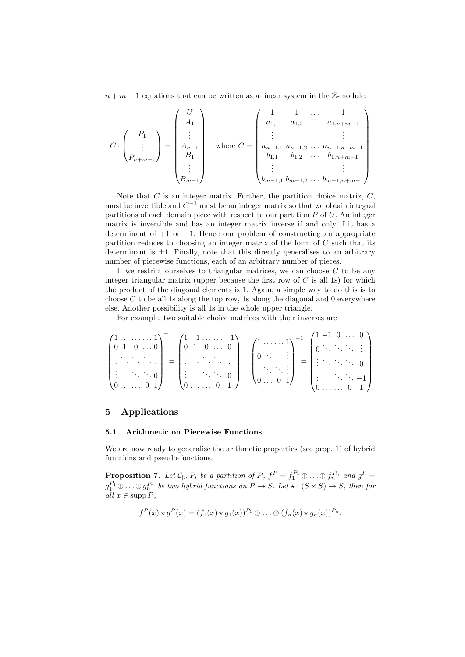$n + m - 1$  equations that can be written as a linear system in the Z-module:

$$
C \cdot \begin{pmatrix} P_1 \\ \vdots \\ P_{n+m-1} \end{pmatrix} = \begin{pmatrix} U \\ A_1 \\ \vdots \\ A_{n-1} \\ B_1 \\ \vdots \\ B_{m-1} \end{pmatrix} \quad \text{where } C = \begin{pmatrix} 1 & 1 & \dots & 1 \\ a_{1,1} & a_{1,2} & \dots & a_{1,n+m-1} \\ \vdots & & & \vdots \\ a_{n-1,1} & a_{n-1,2} & \dots & a_{n-1,n+m-1} \\ b_{1,1} & b_{1,2} & \dots & b_{1,n+m-1} \\ \vdots & & & \vdots \\ b_{m-1,1} & b_{m-1,2} & \dots & b_{m-1,n+m-1} \end{pmatrix}
$$

Note that  $C$  is an integer matrix. Further, the partition choice matrix,  $C$ , must be invertible and  $C^{-1}$  must be an integer matrix so that we obtain integral partitions of each domain piece with respect to our partition  $P$  of  $U$ . An integer matrix is invertible and has an integer matrix inverse if and only if it has a determinant of +1 or −1. Hence our problem of constructing an appropriate partition reduces to choosing an integer matrix of the form of C such that its determinant is  $\pm 1$ . Finally, note that this directly generalises to an arbitrary number of piecewise functions, each of an arbitrary number of pieces.

If we restrict ourselves to triangular matrices, we can choose  $C$  to be any integer triangular matrix (upper because the first row of  $C$  is all 1s) for which the product of the diagonal elements is 1. Again, a simple way to do this is to choose  $C$  to be all 1s along the top row, 1s along the diagonal and 0 everywhere else. Another possibility is all 1s in the whole upper triangle.

For example, two suitable choice matrices with their inverses are

$$
\begin{pmatrix} 1 & \dots & \dots & 1 \\ 0 & 1 & 0 & \dots & 0 \\ \vdots & \ddots & \ddots & \ddots & \vdots \\ \vdots & & \ddots & \ddots & 0 \\ 0 & \dots & \dots & 0 & 1 \end{pmatrix}^{-1} = \begin{pmatrix} 1 & -1 & \dots & \dots & -1 \\ 0 & 1 & 0 & \dots & 0 \\ \vdots & \ddots & \ddots & \ddots & \vdots \\ \vdots & & \ddots & \ddots & 0 \\ 0 & \dots & \dots & 0 & 1 \end{pmatrix} \quad \begin{pmatrix} 1 & \dots & \dots & 1 \\ 0 & \ddots & & \vdots \\ \vdots & \ddots & \ddots & \vdots \\ 0 & \dots & 0 & 1 \end{pmatrix}^{-1} = \begin{pmatrix} 1 & -1 & 0 & \dots & 0 \\ 0 & \ddots & \ddots & \ddots & \vdots \\ \vdots & \ddots & \ddots & \ddots & 0 \\ \vdots & & \ddots & \ddots & -1 \\ 0 & \dots & \dots & 0 & 1 \end{pmatrix}
$$

## 5 Applications

#### 5.1 Arithmetic on Piecewise Functions

We are now ready to generalise the arithmetic properties (see prop. 1) of hybrid functions and pseudo-functions.

**Proposition 7.** Let  $C_{[n]}P_i$  be a partition of P,  $f^P = f_1^{P_1} \oplus \ldots \oplus f_n^{P_n}$  and  $g^P =$ <br> $\begin{bmatrix} P_1 \oplus P_2 \end{bmatrix}$  $g_1^{P_1} \oplus \ldots \oplus g_n^{P_n}$  be two hybrid functions on  $P \to S$ . Let  $\star : (S \times S) \to S$ , then for all  $x \in \text{supp } P$ ,

$$
f^{P}(x) \star g^{P}(x) = (f_1(x) \star g_1(x))^{P_1} \oplus \ldots \oplus (f_n(x) \star g_n(x))^{P_n}.
$$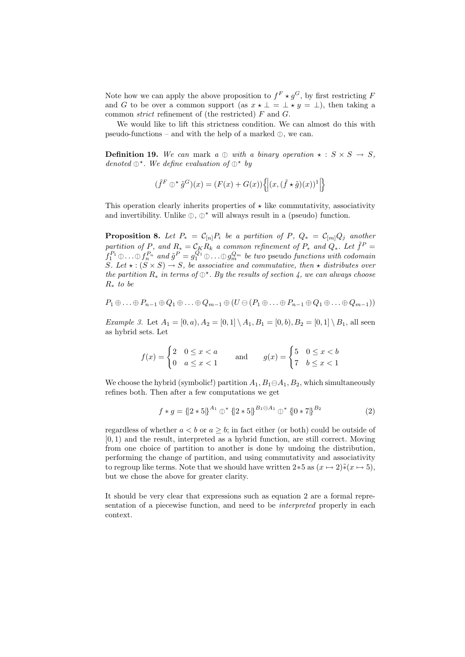Note how we can apply the above proposition to  $f^F \star g^G$ , by first restricting F and G to be over a common support (as  $x \star \bot = \bot \star y = \bot$ ), then taking a common *strict* refinement of (the restricted)  $F$  and  $G$ .

We would like to lift this strictness condition. We can almost do this with pseudo-functions – and with the help of a marked  $\mathbb{O}$ , we can.

**Definition 19.** We can mark a  $\oplus$  with a binary operation  $\star : S \times S \rightarrow S$ , denoted  $\mathbb{O}^{\star}$ . We define evaluation of  $\mathbb{O}^{\star}$  by

$$
(\tilde{f}^F \oplus^{\star} \tilde{g}^G)(x) = (F(x) + G(x)) \left\{ \left| (x, (\tilde{f} \star \tilde{g})(x))^1 \right| \right\}
$$

This operation clearly inherits properties of  $\star$  like commutativity, associativity and invertibility. Unlike  $\mathbb{D}$ ,  $\mathbb{D}^*$  will always result in a (pseudo) function.

**Proposition 8.** Let  $P_* = C_{[n]}P_i$  be a partition of P,  $Q_* = C_{[m]}Q_j$  another partition of P, and  $R_* = C_K R_k$  a common refinement of  $P_*$  and  $Q_*$ . Let  $\tilde{f}^P =$  $\tilde{f}_1^{P_1} \oplus \ldots \oplus \tilde{f}_n^{P_n}$  and  $\tilde{g}^P = g_1^{Q_1} \oplus \ldots \oplus g_n^{Q_m}$  be two pseudo functions with codomain  $S$ , Let  $\oplus S$   $(S \times S) \rightarrow S$ , he associative and commutative, then  $\oplus$  distributes ever S. Let  $\star : (S \times S) \rightarrow S$ , be associative and commutative, then  $\star$  distributes over the partition  $R_*$  in terms of  $\mathbb{O}^*$ . By the results of section 4, we can always choose  $R_*$  to be  $R_*$  to be

$$
P_1 \oplus \ldots \oplus P_{n-1} \oplus Q_1 \oplus \ldots \oplus Q_{m-1} \oplus (U \ominus (P_1 \oplus \ldots \oplus P_{n-1} \oplus Q_1 \oplus \ldots \oplus Q_{m-1}))
$$

*Example 3.* Let  $A_1 = [0, a), A_2 = [0, 1] \setminus A_1, B_1 = [0, b), B_2 = [0, 1] \setminus B_1$ , all seen as hybrid sets. Let

$$
f(x) = \begin{cases} 2 & 0 \le x < a \\ 0 & a \le x < 1 \end{cases} \qquad \text{and} \qquad g(x) = \begin{cases} 5 & 0 \le x < b \\ 7 & b \le x < 1 \end{cases}
$$

We choose the hybrid (symbolic!) partition  $A_1, B_1 \oplus A_1, B_2$ , which simultaneously refines both. Then after a few computations we get

$$
f * g = \left\{ \left[ 2 * 5 \right] \right\}^{A_1} \oplus^* \left\{ \left[ 2 * 5 \right] \right\}^{B_1 \ominus A_1} \oplus^* \left\{ \left[ 0 * 7 \right] \right\}^{B_2}
$$
 (2)

regardless of whether  $a < b$  or  $a \geq b$ ; in fact either (or both) could be outside of [0, 1) and the result, interpreted as a hybrid function, are still correct. Moving from one choice of partition to another is done by undoing the distribution, performing the change of partition, and using commutativity and associativity to regroup like terms. Note that we should have written 2 $*5$  as  $(x \mapsto 2)*(x \mapsto 5)$ , but we chose the above for greater clarity.

It should be very clear that expressions such as equation 2 are a formal representation of a piecewise function, and need to be interpreted properly in each context.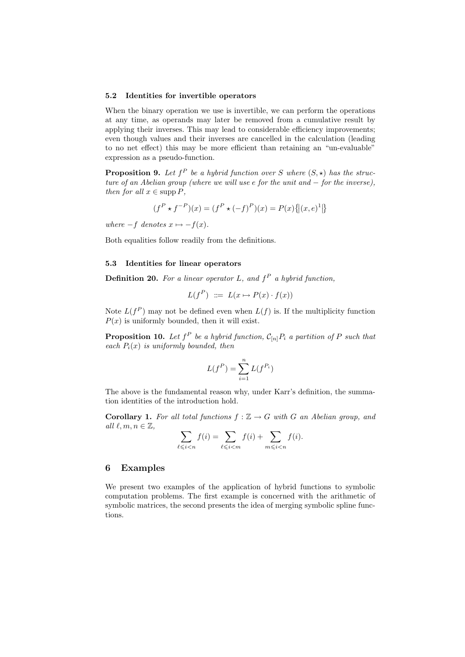#### 5.2 Identities for invertible operators

When the binary operation we use is invertible, we can perform the operations at any time, as operands may later be removed from a cumulative result by applying their inverses. This may lead to considerable efficiency improvements; even though values and their inverses are cancelled in the calculation (leading to no net effect) this may be more efficient than retaining an "un-evaluable" expression as a pseudo-function.

**Proposition 9.** Let  $f^P$  be a hybrid function over S where  $(S, \star)$  has the structure of an Abelian group (where we will use e for the unit and − for the inverse), then for all  $x \in \text{supp } P$ ,

$$
(f^{P} \star f^{-P})(x) = (f^{P} \star (-f)^{P})(x) = P(x) \{ |(x, e)^{1}| \}
$$

where  $-f$  denotes  $x \mapsto -f(x)$ .

Both equalities follow readily from the definitions.

## 5.3 Identities for linear operators

**Definition 20.** For a linear operator L, and  $f^P$  a hybrid function,

$$
L(f^{P}) ::= L(x \mapsto P(x) \cdot f(x))
$$

Note  $L(f^P)$  may not be defined even when  $L(f)$  is. If the multiplicity function  $P(x)$  is uniformly bounded, then it will exist.

**Proposition 10.** Let  $f^P$  be a hybrid function,  $\mathcal{C}_{[n]}P_i$  a partition of P such that each  $P_i(x)$  is uniformly bounded, then

$$
L(f^P) = \sum_{i=1}^n L(f^{P_i})
$$

The above is the fundamental reason why, under Karr's definition, the summation identities of the introduction hold.

**Corollary 1.** For all total functions  $f : \mathbb{Z} \to G$  with G an Abelian group, and all  $\ell, m, n \in \mathbb{Z}$ ,

$$
\sum_{\ell \leqslant i < n} f(i) = \sum_{\ell \leqslant i < m} f(i) + \sum_{m \leqslant i < n} f(i).
$$

#### 6 Examples

We present two examples of the application of hybrid functions to symbolic computation problems. The first example is concerned with the arithmetic of symbolic matrices, the second presents the idea of merging symbolic spline functions.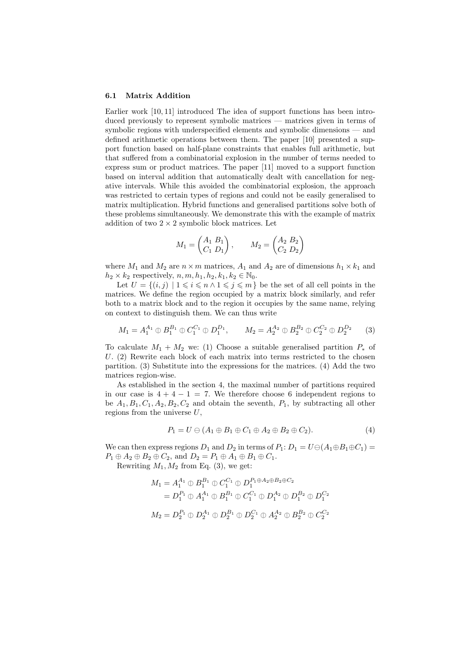#### 6.1 Matrix Addition

Earlier work [10, 11] introduced The idea of support functions has been introduced previously to represent symbolic matrices — matrices given in terms of symbolic regions with underspecified elements and symbolic dimensions — and defined arithmetic operations between them. The paper [10] presented a support function based on half-plane constraints that enables full arithmetic, but that suffered from a combinatorial explosion in the number of terms needed to express sum or product matrices. The paper [11] moved to a support function based on interval addition that automatically dealt with cancellation for negative intervals. While this avoided the combinatorial explosion, the approach was restricted to certain types of regions and could not be easily generalised to matrix multiplication. Hybrid functions and generalised partitions solve both of these problems simultaneously. We demonstrate this with the example of matrix addition of two  $2 \times 2$  symbolic block matrices. Let

$$
M_1 = \begin{pmatrix} A_1 & B_1 \\ C_1 & D_1 \end{pmatrix}, \qquad M_2 = \begin{pmatrix} A_2 & B_2 \\ C_2 & D_2 \end{pmatrix}
$$

where  $M_1$  and  $M_2$  are  $n \times m$  matrices,  $A_1$  and  $A_2$  are of dimensions  $h_1 \times k_1$  and  $h_2 \times k_2$  respectively,  $n, m, h_1, h_2, k_1, k_2 \in \mathbb{N}_0$ .

Let  $U = \{(i, j) \mid 1 \leq i \leq n \land 1 \leq j \leq m\}$  be the set of all cell points in the matrices. We define the region occupied by a matrix block similarly, and refer both to a matrix block and to the region it occupies by the same name, relying on context to distinguish them. We can thus write

$$
M_1 = A_1^{A_1} \oplus B_1^{B_1} \oplus C_1^{C_1} \oplus D_1^{D_1}, \qquad M_2 = A_2^{A_2} \oplus B_2^{B_2} \oplus C_2^{C_2} \oplus D_2^{D_2} \qquad (3)
$$

To calculate  $M_1 + M_2$  we: (1) Choose a suitable generalised partition  $P_*$  of U.  $(2)$  Rewrite each block of each matrix into terms restricted to the chosen partition. (3) Substitute into the expressions for the matrices. (4) Add the two matrices region-wise.

As established in the section 4, the maximal number of partitions required in our case is  $4 + 4 - 1 = 7$ . We therefore choose 6 independent regions to be  $A_1, B_1, C_1, A_2, B_2, C_2$  and obtain the seventh,  $P_1$ , by subtracting all other regions from the universe  $U$ ,

$$
P_1 = U \ominus (A_1 \oplus B_1 \oplus C_1 \oplus A_2 \oplus B_2 \oplus C_2). \tag{4}
$$

We can then express regions  $D_1$  and  $D_2$  in terms of  $P_1: D_1 = U \ominus (A_1 \oplus B_1 \oplus C_1)$  $P_1 \oplus A_2 \oplus B_2 \oplus C_2$ , and  $D_2 = P_1 \oplus A_1 \oplus B_1 \oplus C_1$ .

Rewriting  $M_1, M_2$  from Eq. (3), we get:

$$
M_1 = A_1^{A_1} \oplus B_1^{B_1} \oplus C_1^{C_1} \oplus D_1^{P_1 \oplus A_2 \oplus B_2 \oplus C_2}
$$
  
=  $D_1^{P_1} \oplus A_1^{A_1} \oplus B_1^{B_1} \oplus C_1^{C_1} \oplus D_1^{A_2} \oplus D_1^{B_2} \oplus D_1^{C_2}$   

$$
M_2 = D_2^{P_1} \oplus D_2^{A_1} \oplus D_2^{B_1} \oplus D_2^{C_1} \oplus A_2^{A_2} \oplus B_2^{B_2} \oplus C_2^{C_2}
$$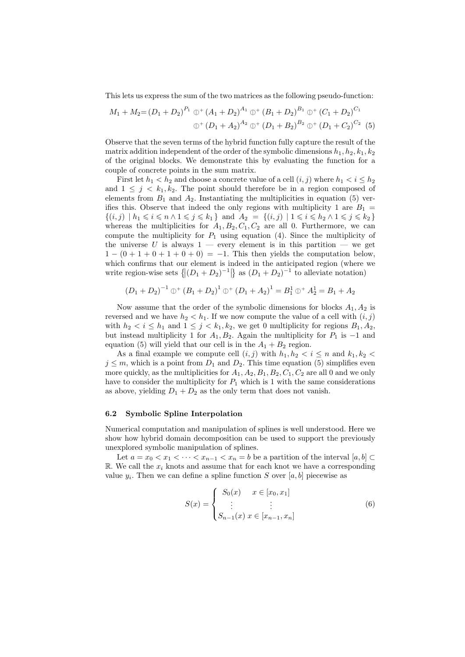This lets us express the sum of the two matrices as the following pseudo-function:

$$
M_1 + M_2 = (D_1 + D_2)^{P_1} \oplus^+ (A_1 + D_2)^{A_1} \oplus^+ (B_1 + D_2)^{B_1} \oplus^+ (C_1 + D_2)^{C_1}
$$
  

$$
\oplus^+ (D_1 + A_2)^{A_2} \oplus^+ (D_1 + B_2)^{B_2} \oplus^+ (D_1 + C_2)^{C_2} (5)
$$

Observe that the seven terms of the hybrid function fully capture the result of the matrix addition independent of the order of the symbolic dimensions  $h_1, h_2, k_1, k_2$ of the original blocks. We demonstrate this by evaluating the function for a couple of concrete points in the sum matrix.

First let  $h_1 < h_2$  and choose a concrete value of a cell  $(i, j)$  where  $h_1 < i \leq h_2$ and  $1 \leq j \leq k_1, k_2$ . The point should therefore be in a region composed of elements from  $B_1$  and  $A_2$ . Instantiating the multiplicities in equation (5) verifies this. Observe that indeed the only regions with multiplicity 1 are  $B_1 =$  $\{(i,j) \mid h_1 \leq i \leq n \land 1 \leq j \leq k_1\}$  and  $A_2 = \{(i,j) \mid 1 \leq i \leq h_2 \land 1 \leq j \leq k_2\}$ whereas the multiplicities for  $A_1, B_2, C_1, C_2$  are all 0. Furthermore, we can compute the multiplicity for  $P_1$  using equation (4). Since the multiplicity of the universe  $U$  is always  $1$  — every element is in this partition — we get  $1 - (0 + 1 + 0 + 1 + 0 + 0) = -1$ . This then yields the computation below, which confirms that our element is indeed in the anticipated region (where we write region-wise sets  $\{|(D_1 + D_2)^{-1}|\}$  as  $(D_1 + D_2)^{-1}$  to alleviate notation)

$$
(D_1 + D_2)^{-1} \oplus^{+} (B_1 + D_2)^{1} \oplus^{+} (D_1 + A_2)^{1} = B_1^{1} \oplus^{+} A_2^{1} = B_1 + A_2
$$

Now assume that the order of the symbolic dimensions for blocks  $A_1, A_2$  is reversed and we have  $h_2 < h_1$ . If we now compute the value of a cell with  $(i, j)$ with  $h_2 < i \leq h_1$  and  $1 \leq j < k_1, k_2$ , we get 0 multiplicity for regions  $B_1, A_2$ , but instead multiplicity 1 for  $A_1, B_2$ . Again the multiplicity for  $P_1$  is  $-1$  and equation (5) will yield that our cell is in the  $A_1 + B_2$  region.

As a final example we compute cell  $(i, j)$  with  $h_1, h_2 < i \leq n$  and  $k_1, k_2 < i$  $j \leq m$ , which is a point from  $D_1$  and  $D_2$ . This time equation (5) simplifies even more quickly, as the multiplicities for  $A_1, A_2, B_1, B_2, C_1, C_2$  are all 0 and we only have to consider the multiplicity for  $P_1$  which is 1 with the same considerations as above, yielding  $D_1 + D_2$  as the only term that does not vanish.

## 6.2 Symbolic Spline Interpolation

Numerical computation and manipulation of splines is well understood. Here we show how hybrid domain decomposition can be used to support the previously unexplored symbolic manipulation of splines.

Let  $a = x_0 < x_1 < \cdots < x_{n-1} < x_n = b$  be a partition of the interval  $[a, b] \subset$ R. We call the  $x_i$  knots and assume that for each knot we have a corresponding value  $y_i$ . Then we can define a spline function S over [a, b] piecewise as

$$
S(x) = \begin{cases} S_0(x) & x \in [x_0, x_1] \\ \vdots & \vdots \\ S_{n-1}(x) & x \in [x_{n-1}, x_n] \end{cases}
$$
(6)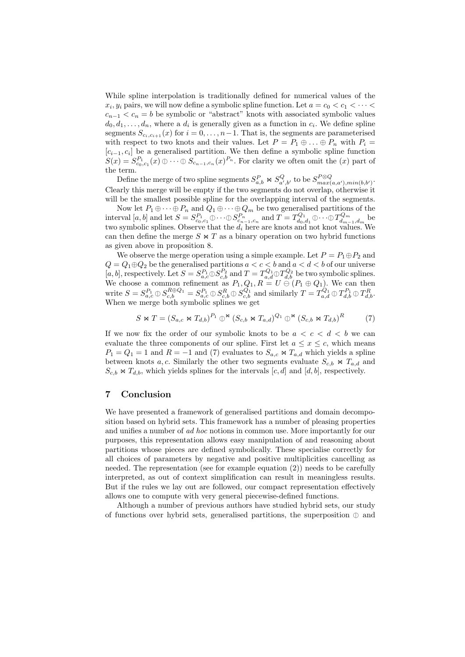While spline interpolation is traditionally defined for numerical values of the  $x_i, y_i$  pairs, we will now define a symbolic spline function. Let  $a = c_0 < c_1 < \cdots <$  $c_{n-1} < c_n = b$  be symbolic or "abstract" knots with associated symbolic values  $d_0, d_1, \ldots, d_n$ , where a  $d_i$  is generally given as a function in  $c_i$ . We define spline segments  $S_{c_i,c_{i+1}}(x)$  for  $i = 0, \ldots, n-1$ . That is, the segments are parameterised with respect to two knots and their values. Let  $P = P_1 \oplus \ldots \oplus P_n$  with  $P_i =$  $[c_{i-1}, c_i]$  be a generalised partition. We then define a symbolic spline function  $S(x) = S_{c_0,c_1}^{P_1}(x) \oplus \cdots \oplus S_{c_{n-1},c_n}(x)^{P_n}$ . For clarity we often omit the  $(x)$  part of the term.

Define the merge of two spline segments  $S_{a,b}^P \Join S_{a',b'}^Q$  to be  $S_{max(a,a'),min(b,b')}^{P\otimes Q}$ . Clearly this merge will be empty if the two segments do not overlap, otherwise it will be the smallest possible spline for the overlapping interval of the segments.

Now let  $P_1 \oplus \cdots \oplus P_n$  and  $Q_1 \oplus \cdots \oplus Q_m$  be two generalised partitions of the interval  $[a, b]$  and let  $S = S_{c_0,c_1}^{P_1} \oplus \cdots \oplus S_{c_n-1,c_n}^{P_n}$  and  $T = T_{d_0,d_1}^{Q_1} \oplus \cdots \oplus T_{d_m-1,d_m}^{Q_m}$  between whole spling. Observe that the d-boro are knot and not knot values. two symbolic splines. Observe that the  $d_i$  here are knots and not knot values. We can then define the merge  $S \bowtie T$  as a binary operation on two hybrid functions as given above in proposition 8.

We observe the merge operation using a simple example. Let  $P = P_1 \oplus P_2$  and  $Q = Q_1 \oplus Q_2$  be the generalised partitions  $a < c < b$  and  $a < d < b$  of our universe [a, b], respectively. Let  $S = S_{a,c}^{P_1} \oplus S_{c,b}^{P_2}$  and  $T = T_{a,d}^{Q_1} \oplus T_{a,b}^{Q_2}$  be two symbolic splines.<br>We choose a common refinement as  $P_a \oplus S_a = U \oplus (P_a \oplus Q_a)$ . We can then We choose a common refinement as  $P_1, Q_1, R = U \oplus (P_1 \oplus Q_1)$ . We can then write  $S = S_{a,c}^{P_1} \oplus S_{a,c}^{R \oplus Q_1} = S_{a,b}^{P_1} \oplus S_{c,b}^{R} \oplus S_{c,b}^{Q_1}$  and similarly  $T = T_{a,d}^{Q_1} \oplus T_{d,b}^{P_1} \oplus T_{d,b}^{R}$ .<br>When we may both symbolic splines we get When we merge both symbolic splines we get

$$
S \bowtie T = (S_{a,c} \bowtie T_{d,b})^{P_1} \oplus \text{M} (S_{c,b} \bowtie T_{a,d})^{Q_1} \oplus \text{M} (S_{c,b} \bowtie T_{d,b})^R \tag{7}
$$

If we now fix the order of our symbolic knots to be  $a < c < d < b$  we can evaluate the three components of our spline. First let  $a \leq x \leq c$ , which means  $P_1 = Q_1 = 1$  and  $R = -1$  and (7) evaluates to  $S_{a,c} \bowtie T_{a,d}$  which yields a spline between knots a, c. Similarly the other two segments evaluate  $S_{c,b} \Join T_{a,d}$  and  $S_{c,b} \bowtie T_{d,b}$ , which yields splines for the intervals  $[c, d]$  and  $[d, b]$ , respectively.

#### 7 Conclusion

We have presented a framework of generalised partitions and domain decomposition based on hybrid sets. This framework has a number of pleasing properties and unifies a number of ad hoc notions in common use. More importantly for our purposes, this representation allows easy manipulation of and reasoning about partitions whose pieces are defined symbolically. These specialise correctly for all choices of parameters by negative and positive multiplicities cancelling as needed. The representation (see for example equation (2)) needs to be carefully interpreted, as out of context simplification can result in meaningless results. But if the rules we lay out are followed, our compact representation effectively allows one to compute with very general piecewise-defined functions.

Although a number of previous authors have studied hybrid sets, our study of functions over hybrid sets, generalised partitions, the superposition  $\mathbb{O}$  and